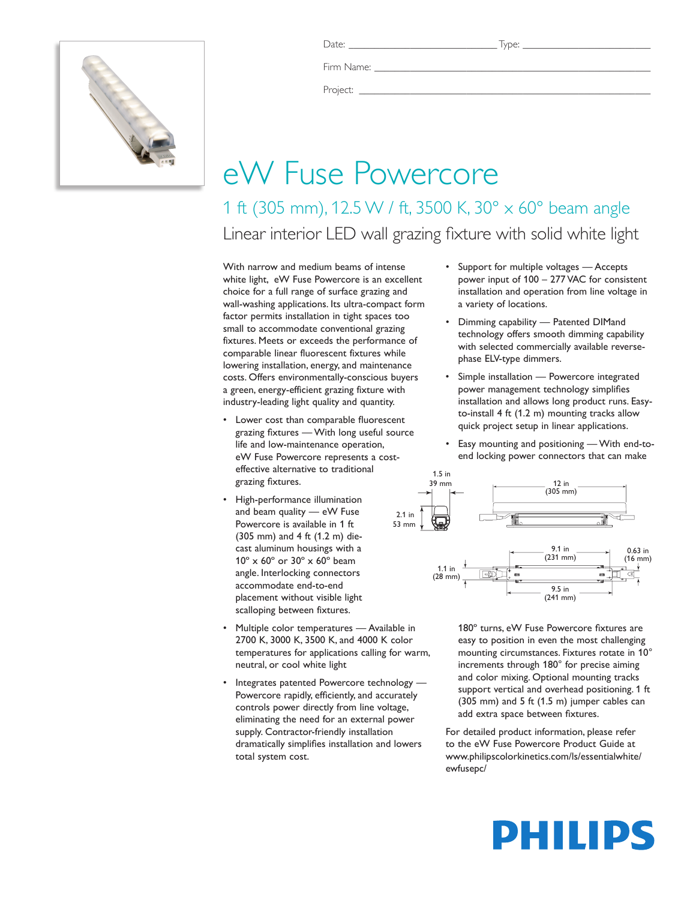

Firm Name:

Project: \_\_\_\_\_\_\_\_\_\_\_\_\_\_\_\_\_\_\_\_\_\_\_\_\_\_\_\_\_\_\_\_\_\_\_\_\_\_\_\_\_\_\_\_\_\_\_\_\_\_\_\_\_\_\_\_\_

## eW Fuse Powercore

1 ft (305 mm), 12.5 W / ft, 3500 K, 30° x 60° beam angle Linear interior LED wall grazing fixture with solid white light

With narrow and medium beams of intense white light, eW Fuse Powercore is an excellent choice for a full range of surface grazing and wall-washing applications. Its ultra-compact form factor permits installation in tight spaces too small to accommodate conventional grazing fixtures. Meets or exceeds the performance of comparable linear fluorescent fixtures while lowering installation, energy, and maintenance costs. Offers environmentally-conscious buyers a green, energy-efficient grazing fixture with industry-leading light quality and quantity.

- Lower cost than comparable fluorescent grazing fixtures — With long useful source life and low-maintenance operation, eW Fuse Powercore represents a costeffective alternative to traditional grazing fixtures.
- High-performance illumination and beam quality — eW Fuse Powercore is available in 1 ft (305 mm) and 4 ft (1.2 m) diecast aluminum housings with a 10º x 60º or 30º x 60º beam angle. Interlocking connectors accommodate end-to-end placement without visible light scalloping between fixtures.
- Multiple color temperatures Available in 2700 K, 3000 K, 3500 K, and 4000 K color temperatures for applications calling for warm, neutral, or cool white light
- Integrates patented Powercore technology Powercore rapidly, efficiently, and accurately controls power directly from line voltage, eliminating the need for an external power supply. Contractor-friendly installation dramatically simplifies installation and lowers total system cost.
- • Support for multiple voltages Accepts power input of 100 – 277 VAC for consistent installation and operation from line voltage in a variety of locations.
- Dimming capability Patented DIMand technology offers smooth dimming capability with selected commercially available reversephase ELV-type dimmers.
- Simple installation Powercore integrated power management technology simplifies installation and allows long product runs. Easyto-install 4 ft (1.2 m) mounting tracks allow quick project setup in linear applications.
- Easy mounting and positioning With end-toend locking power connectors that can make



180º turns, eW Fuse Powercore fixtures are easy to position in even the most challenging mounting circumstances. Fixtures rotate in 10° increments through 180° for precise aiming and color mixing. Optional mounting tracks support vertical and overhead positioning. 1 ft (305 mm) and 5 ft (1.5 m) jumper cables can add extra space between fixtures.

For detailed product information, please refer to the eW Fuse Powercore Product Guide at www.philipscolorkinetics.com/ls/essentialwhite/ ewfusepc/

# PHILIPS